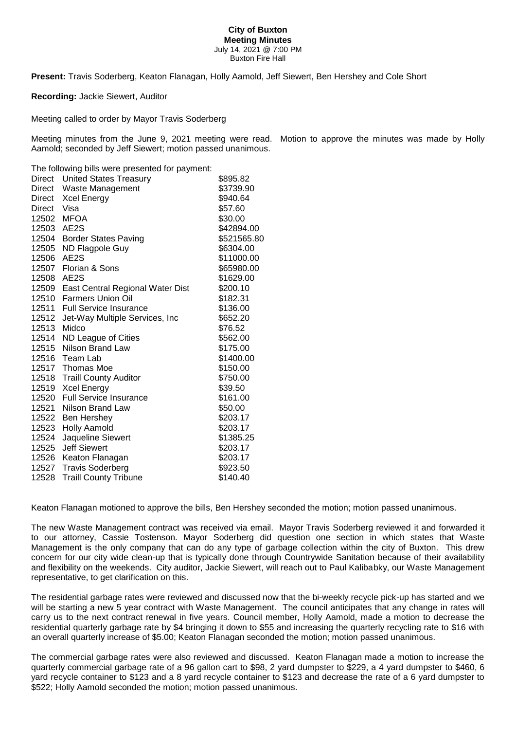## **City of Buxton Meeting Minutes** July 14, 2021 @ 7:00 PM Buxton Fire Hall

**Present:** Travis Soderberg, Keaton Flanagan, Holly Aamold, Jeff Siewert, Ben Hershey and Cole Short

**Recording:** Jackie Siewert, Auditor

Meeting called to order by Mayor Travis Soderberg

Meeting minutes from the June 9, 2021 meeting were read. Motion to approve the minutes was made by Holly Aamold; seconded by Jeff Siewert; motion passed unanimous.

The following bills were presented for payment:

| Direct     | <b>United States Treasury</b>          | \$895.82    |
|------------|----------------------------------------|-------------|
| Direct     | <b>Waste Management</b>                | \$3739.90   |
| Direct     | Xcel Energy                            | \$940.64    |
| Direct     | Visa                                   | \$57.60     |
| 12502      | <b>MFOA</b>                            | \$30.00     |
| 12503 AE2S |                                        | \$42894.00  |
|            | 12504 Border States Paving             | \$521565.80 |
| 12505      | ND Flagpole Guy                        | \$6304.00   |
| 12506      | AE <sub>2</sub> S                      | \$11000.00  |
|            | 12507 Florian & Sons                   | \$65980.00  |
| 12508      | AE2S                                   | \$1629.00   |
|            | 12509 East Central Regional Water Dist | \$200.10    |
|            | 12510 Farmers Union Oil                | \$182.31    |
| 12511      | <b>Full Service Insurance</b>          | \$136.00    |
| 12512      | Jet-Way Multiple Services, Inc.        | \$652.20    |
| 12513      | Midco                                  | \$76.52     |
| 12514      | ND League of Cities                    | \$562.00    |
| 12515      | Nilson Brand Law                       | \$175.00    |
| 12516      | Team Lab                               | \$1400.00   |
| 12517      | Thomas Moe                             | \$150.00    |
| 12518      | <b>Traill County Auditor</b>           | \$750.00    |
| 12519      | <b>Xcel Energy</b>                     | \$39.50     |
| 12520      | <b>Full Service Insurance</b>          | \$161.00    |
| 12521      | Nilson Brand Law                       | \$50.00     |
| 12522      | Ben Hershey                            | \$203.17    |
| 12523      | <b>Holly Aamold</b>                    | \$203.17    |
| 12524      | Jaqueline Siewert                      | \$1385.25   |
| 12525      | <b>Jeff Siewert</b>                    | \$203.17    |
| 12526      | Keaton Flanagan                        | \$203.17    |
| 12527      | <b>Travis Soderberg</b>                | \$923.50    |
| 12528      | <b>Traill County Tribune</b>           | \$140.40    |

Keaton Flanagan motioned to approve the bills, Ben Hershey seconded the motion; motion passed unanimous.

The new Waste Management contract was received via email. Mayor Travis Soderberg reviewed it and forwarded it to our attorney, Cassie Tostenson. Mayor Soderberg did question one section in which states that Waste Management is the only company that can do any type of garbage collection within the city of Buxton. This drew concern for our city wide clean-up that is typically done through Countrywide Sanitation because of their availability and flexibility on the weekends. City auditor, Jackie Siewert, will reach out to Paul Kalibabky, our Waste Management representative, to get clarification on this.

The residential garbage rates were reviewed and discussed now that the bi-weekly recycle pick-up has started and we will be starting a new 5 year contract with Waste Management. The council anticipates that any change in rates will carry us to the next contract renewal in five years. Council member, Holly Aamold, made a motion to decrease the residential quarterly garbage rate by \$4 bringing it down to \$55 and increasing the quarterly recycling rate to \$16 with an overall quarterly increase of \$5.00; Keaton Flanagan seconded the motion; motion passed unanimous.

The commercial garbage rates were also reviewed and discussed. Keaton Flanagan made a motion to increase the quarterly commercial garbage rate of a 96 gallon cart to \$98, 2 yard dumpster to \$229, a 4 yard dumpster to \$460, 6 yard recycle container to \$123 and a 8 yard recycle container to \$123 and decrease the rate of a 6 yard dumpster to \$522; Holly Aamold seconded the motion; motion passed unanimous.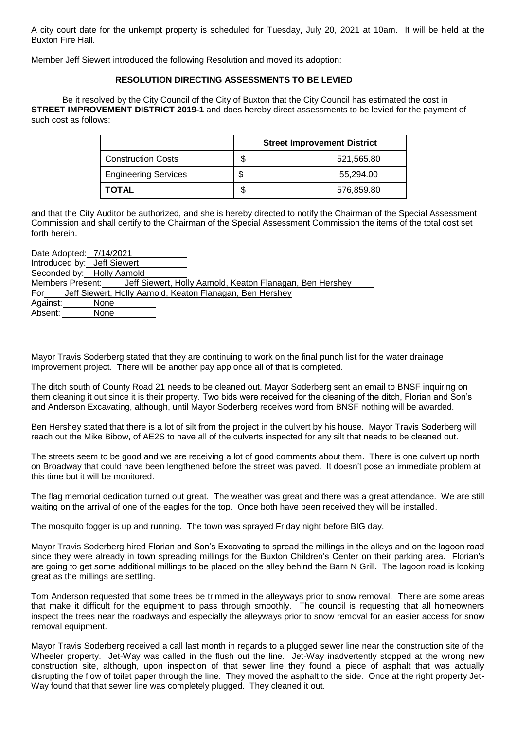A city court date for the unkempt property is scheduled for Tuesday, July 20, 2021 at 10am. It will be held at the Buxton Fire Hall.

Member Jeff Siewert introduced the following Resolution and moved its adoption:

## **RESOLUTION DIRECTING ASSESSMENTS TO BE LEVIED**

Be it resolved by the City Council of the City of Buxton that the City Council has estimated the cost in **STREET IMPROVEMENT DISTRICT 2019-1** and does hereby direct assessments to be levied for the payment of such cost as follows:

|                             | <b>Street Improvement District</b> |
|-----------------------------|------------------------------------|
| <b>Construction Costs</b>   | 521,565.80                         |
| <b>Engineering Services</b> | \$<br>55.294.00                    |
| TOTAL                       | 576,859.80                         |

and that the City Auditor be authorized, and she is hereby directed to notify the Chairman of the Special Assessment Commission and shall certify to the Chairman of the Special Assessment Commission the items of the total cost set forth herein.

| Date Adopted: 7/14/2021                                                   |
|---------------------------------------------------------------------------|
| Introduced by: Jeff Siewert                                               |
| Seconded by: Holly Aamold                                                 |
| Members Present: Jeff Siewert, Holly Aamold, Keaton Flanagan, Ben Hershey |
| For Jeff Siewert, Holly Aamold, Keaton Flanagan, Ben Hershey              |
| Against: None                                                             |
| Absent:<br>None                                                           |

Mayor Travis Soderberg stated that they are continuing to work on the final punch list for the water drainage improvement project. There will be another pay app once all of that is completed.

The ditch south of County Road 21 needs to be cleaned out. Mayor Soderberg sent an email to BNSF inquiring on them cleaning it out since it is their property. Two bids were received for the cleaning of the ditch, Florian and Son's and Anderson Excavating, although, until Mayor Soderberg receives word from BNSF nothing will be awarded.

Ben Hershey stated that there is a lot of silt from the project in the culvert by his house. Mayor Travis Soderberg will reach out the Mike Bibow, of AE2S to have all of the culverts inspected for any silt that needs to be cleaned out.

The streets seem to be good and we are receiving a lot of good comments about them. There is one culvert up north on Broadway that could have been lengthened before the street was paved. It doesn't pose an immediate problem at this time but it will be monitored.

The flag memorial dedication turned out great. The weather was great and there was a great attendance. We are still waiting on the arrival of one of the eagles for the top. Once both have been received they will be installed.

The mosquito fogger is up and running. The town was sprayed Friday night before BIG day.

Mayor Travis Soderberg hired Florian and Son's Excavating to spread the millings in the alleys and on the lagoon road since they were already in town spreading millings for the Buxton Children's Center on their parking area. Florian's are going to get some additional millings to be placed on the alley behind the Barn N Grill. The lagoon road is looking great as the millings are settling.

Tom Anderson requested that some trees be trimmed in the alleyways prior to snow removal. There are some areas that make it difficult for the equipment to pass through smoothly. The council is requesting that all homeowners inspect the trees near the roadways and especially the alleyways prior to snow removal for an easier access for snow removal equipment.

Mayor Travis Soderberg received a call last month in regards to a plugged sewer line near the construction site of the Wheeler property. Jet-Way was called in the flush out the line. Jet-Way inadvertently stopped at the wrong new construction site, although, upon inspection of that sewer line they found a piece of asphalt that was actually disrupting the flow of toilet paper through the line. They moved the asphalt to the side. Once at the right property Jet-Way found that that sewer line was completely plugged. They cleaned it out.